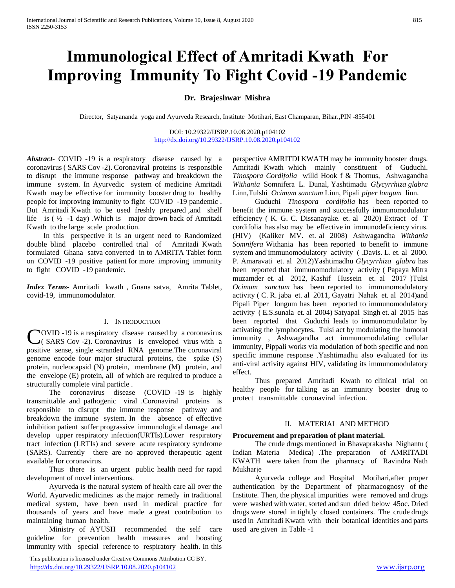# **Immunological Effect of Amritadi Kwath For Improving Immunity To Fight Covid -19 Pandemic**

# **Dr. Brajeshwar Mishra**

Director, Satyananda yoga and Ayurveda Research, Institute Motihari, East Champaran, Bihar.,PIN -855401

DOI: 10.29322/IJSRP.10.08.2020.p104102 <http://dx.doi.org/10.29322/IJSRP.10.08.2020.p104102>

*Abstract***-** COVID -19 is a respiratory disease caused by a coronavirus ( SARS Cov -2). Coronaviral proteins is responsible to disrupt the immune response pathway and breakdown the immune system. In Ayurvedic system of medicine Amritadi Kwath may be effective for immunity booster drug to healthy people for improving immunity to fight COVID -19 pandemic . But Amritadi Kwath to be used freshly prepared ,and shelf life is  $(\frac{1}{2} - 1)$  day). Which is major drown back of Amritadi Kwath to the large scale production.

 In this perspective it is an urgent need to Randomized double blind placebo controlled trial of Amritadi Kwath formulated Ghana satva converted in to AMRITA Tablet form on COVID -19 positive patient for more improving immunity to fight COVID -19 pandemic.

*Index Terms*- Amritadi kwath , Gnana satva, Amrita Tablet, covid-19, immunomodulator.

### I. INTRODUCTION

COVID -19 is a respiratory disease caused by a coronavirus<br>
C (SARS Cov -2). Coronavirus is enveloped virus with a ( SARS Cov -2). Coronavirus is enveloped virus with a positive sense, single -stranded RNA genome.The coronaviral genome encode four major structural proteins, the spike (S) protein, nucleocapsid (N) protein, membrane (M) protein, and the envelope (E) protein, all of which are required to produce a structurally complete viral particle .

 The coronavirus disease (COVID -19 is highly transmittable and pathogenic viral .Coronaviral proteins is responsible to disrupt the immune response pathway and breakdown the immune system. In the absence of effective inhibition patient suffer prograssive immunological damage and develop upper respiratory infection(URTIs).Lower respiratory tract infection (LRTIs) and severe acute respiratory syndrome (SARS). Currently there are no approved therapeutic agent available for coronavirus.

 Thus there is an urgent public health need for rapid development of novel interventions.

 Ayurveda is the natural system of health care all over the World. Ayurvedic medicines as the major remedy in traditional medical system, have been used in medical practice for thousands of years and have made a great contribution to maintaining human health.

 Ministry of AYUSH recommended the self care guideline for prevention health measures and boosting immunity with special reference to respiratory health. In this

 This publication is licensed under Creative Commons Attribution CC BY. <http://dx.doi.org/10.29322/IJSRP.10.08.2020.p104102> [www.ijsrp.org](http://ijsrp.org/)

perspective AMRITDI KWATH may be immunity booster drugs. Amritadi Kwath which mainly constituent of Guduchi. *Tinospora Cordifolia* willd Hook f & Thomus, Ashwagandha *Withania* Somnifera L. Dunal, Yashtimadu *Glycyrrhiza glabra*  Linn,Tulshi *Ocimum sanctum* Linn, Pipali *piper longum* linn.

 Guduchi *Tinospora cordifolia* has been reported to benefit the immune system and successfully immunomodulator efficiency ( K. G. C. Dissanayake. et. al 2020) Extract of T cordifolia has also may be effective in immunodeficiency virus. (HIV) (Kaliker MV. et. al 2008) Ashwagandha *Withania Somnifera* Withania has been reported to benefit to immune system and immunomodulatory activity ( .Davis. L. et. al 2000. P. Amaravati et. al 2012)Yashtimadhu *Glycyrrhiza glabra* has been reported that immunomodulatory activity ( Papaya Mitra muzamder et. al 2012, Kashif Hussein et. al 2017 )Tulsi *Ocimum sanctum* has been reported to immunomodulatory activity ( C. R. jaba et. al 2011, Gayatri Nahak et. al 2014)and Pipali Piper longum has been reported to immunomodulatory activity ( E.S.sunala et. al 2004) Satyapal Singh et. al 2015 has been reported that Guduchi leads to immunomudulator by activating the lymphocytes, Tulsi act by modulating the humoral immunity , Ashwagandha act immunomodulating cellular immunity, Pippali works via modulation of both specific and non specific immune response .Yashtimadhu also evaluated for its anti-viral activity against HIV, validating its immunomodulatory effect.

 Thus prepared Amritadi Kwath to clinical trial on healthy people for talking as an immunity booster drug to protect transmittable coronaviral infection.

## II. MATERIAL AND METHOD

## **Procurement and preparation of plant material.**

 The crude drugs mentioned in Bhavaprakasha Nighantu ( Indian Materia Medica) .The preparation of AMRITADI KWATH were taken from the pharmacy of Ravindra Nath Mukharje

 Ayurveda college and Hospital Motihari,after proper authentication by the Department of pharmacognosy of the Institute. Then, the physical impurities were removed and drugs were washed with water, sorted and sun dried below 45oc. Dried drugs were stored in tightly closed containers. The crude drugs used in Amritadi Kwath with their botanical identities and parts used are given in Table -1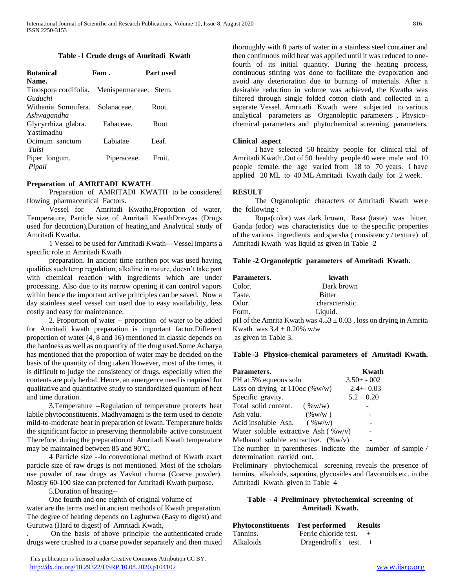#### **Table -1 Crude drugs of Amritadi Kwath**

| <b>Botanical</b>                            | Fam.        | Part used |
|---------------------------------------------|-------------|-----------|
| Name.                                       |             |           |
| Tinospora cordifolia. Menispermaceae. Stem. |             |           |
| Guduchi                                     |             |           |
| Withania Somnifera.                         | Solanaceae. | Root.     |
| Ashwagandha                                 |             |           |
| Glycyrrhiza glabra.                         | Fabaceae.   | Root      |
| Yastimadhu                                  |             |           |
| Ocimum sanctum                              | Labiatae    | Leaf.     |
| Tulsi                                       |             |           |
| Piper longum.                               | Piperaceae. | Fruit.    |
| Pipali                                      |             |           |

## **Preparation of AMRITADI KWATH**

 Preparation of AMRITADI KWATH to be considered flowing pharmaceutical Factors.

 Vessel for Amritadi Kwatha,Proportion of water, Temperature, Particle size of Amritadi KwathDravyas (Drugs used for decoction),Duration of heating,and Analytical study of Amritadi Kwatha.

 1 Vessel to be used for Amritadi Kwath---Vessel imparts a specific role in Amritadi Kwath

 preparation. In ancient time earthen pot was used having qualities such temp regulation, alkaline in nature, doesn't take part with chemical reaction with ingredients which are under processing. Also due to its narrow opening it can control vapors within hence the important active principles can be saved. Now a day stainless steel vessel can used due to easy availability, less costly and easy for maintenance.

 2. Proportion of water -- proportion of water to be added for Amritadi kwath preparation is important factor.Different proportion of water (4, 8 and 16) mentioned in classic depends on the hardness as well as on quantity of the drug used.Some Acharya has mentioned that the proportion of water may be decided on the basis of the quantity of drug taken.However, most of the times, it is difficult to judge the consistency of drugs, especially when the contents are poly herbal. Hence, an emergence need is required for qualitative and quantitative study to standardized quantum of heat and time duration.

 3.Temperature --Regulation of temperature protects heat labile phytoconstituents. Madhyamagni is the term used to denote mild-to-moderate heat in preparation of kwath. Temperature holds the significant factor in preserving thermolabile active constituent Therefore, during the preparation of Amritadi Kwath temperature may be maintained between 85 and 90°C.

 4 Particle size --In conventional method of Kwath exact particle size of raw drugs is not mentioned. Most of the scholars use powder of raw drugs as Yavkut churna (Coarse powder). Mostly 60-100 size can preferred for Amritadi Kwath purpose.

5.Duration of heating--

 One fourth and one eighth of original volume of water are the terms used in ancient methods of Kwath preparation. The degree of heating depends on Laghutwa (Easy to digest) and Gurutwa (Hard to digest) of Amritadi Kwath,

. On the basis of above principle the authenticated crude drugs were crushed to a coarse powder separately and then mixed

 This publication is licensed under Creative Commons Attribution CC BY. <http://dx.doi.org/10.29322/IJSRP.10.08.2020.p104102> [www.ijsrp.org](http://ijsrp.org/)

thoroughly with 8 parts of water in a stainless steel container and then continuous mild heat was applied until it was reduced to onefourth of its initial quantity. During the heating process, continuous stirring was done to facilitate the evaporation and avoid any deterioration due to burning of materials. After a desirable reduction in volume was achieved, the Kwatha was filtered through single folded cotton cloth and collected in a separate Vessel. Amritadi Kwath were subjected to various analytical parameters as Organoleptic parameters , Physicochemical parameters and phytochemical screening parameters.

## **Clinical aspect**

 I have selected 50 healthy people for clinical trial of Amritadi Kwath .Out of 50 healthy people 40 were male and 10 people female, the age varied from 18 to 70 years. I have applied 20 ML to 40 ML Amritadi Kwath daily for 2 week.

## **RESULT**

 The Organoleptic characters of Amritadi Kwath were the following :

 Rupa(color) was dark brown, Rasa (taste) was bitter, Ganda (odor) was characteristics due to the specific properties of the various ingredients and sparsha ( consistency / texture) of Amritadi Kwath was liquid as given in Table -2

# **Table -2 Organoleptic parameters of Amritadi Kwath.**

| Parameters. | kwath                                                                 |  |
|-------------|-----------------------------------------------------------------------|--|
| Color.      | Dark brown                                                            |  |
| Taste.      | <b>Bitter</b>                                                         |  |
| Odor.       | characteristic.                                                       |  |
| Form.       | Liquid.                                                               |  |
|             | pH of the Amrita Kwath was $4.53 \pm 0.03$ , loss on drying in Amrita |  |

Kwath was  $3.4 \pm 0.20\%$  w/w

as given in Table 3.

## **Table -3 Physico-chemical parameters of Amritadi Kwath.**

| Parameters.                            | Kwath          |
|----------------------------------------|----------------|
| PH at 5% equeous solu                  | $3.50 + -0.02$ |
| Lass on drying at $110oc$ (%w/w)       | $2.4 + -0.03$  |
| Specific gravity.                      | $5.2 + 0.20$   |
| Total solid content.<br>( %w/w)        |                |
| $(\%w/w)$<br>Ash valu.                 |                |
| Acid insoluble Ash. $(\%w/w)$          |                |
| Water soluble extractive Ash $(\%w/v)$ |                |
| Methanol soluble extractive. (%w/v)    |                |

The number in parentheses indicate the number of sample / determination carried out.

Preliminary phytochemical screening reveals the presence of tannins, alkaloids, saponins, glycosides and flavonoids etc. in the Amritadi Kwath. given in Table 4

# **Table - 4 Preliminary phytochemical screening of Amritadi Kwath.**

| Phytoconstituents | <b>Test performed</b> Results |     |
|-------------------|-------------------------------|-----|
| Tannins.          | Ferric chloride test.         | $+$ |
| Alkaloids         | Dragendroff's test.           | $+$ |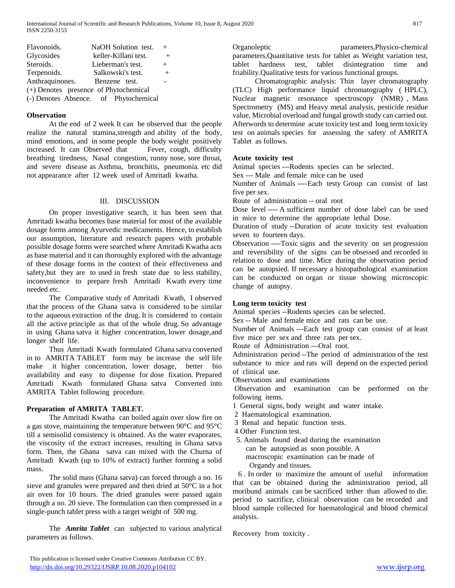International Journal of Scientific and Research Publications, Volume 10, Issue 8, August 2020 817 ISSN 2250-3153

| Flavonoids.                           | NaOH Solution test.                   | $^{+}$ |
|---------------------------------------|---------------------------------------|--------|
| Glycosides                            | keller-Killani test.                  | $+$    |
| Steroids.                             | Lieberman's test.                     | $+$    |
| Terpenoids.                           | Salkowski's test.                     | $+$    |
| Anthraquinones.                       | Benzene test.                         |        |
| (+) Denotes presence of Phytochemical |                                       |        |
|                                       | (-) Denotes Absence. of Phytochemical |        |

#### **Observation**

 At the end of 2 week It can be observed that the people realize the natural stamina,strength and ability of the body, mind emotions, and in some people the body weight positively increased. It can Observed that Fever, cough, difficulty breathing tiredness, Nasal congestion, runny nose, sore throat, and severe disease as Asthma, bronchitis, pneumonia. etc did not appearance after 12 week used of Amritadi kwatha.

#### III. DISCUSSION

 On proper investigative search, it has been seen that Amritadi kwatha becomes base material for most of the available dosage forms among Ayurvedic medicaments. Hence, to establish our assumption, literature and research papers with probable possible dosage forms were searched where Amritadi Kwatha acts as base material and it can thoroughly explored with the advantage of these dosage forms in the context of their effectiveness and safety,but they are to used in fresh state due to less stability, inconvenience to prepare fresh Amritadi Kwath every time needed etc.

 The Comparative study of Amritadi Kwath, I observed that the process of the Ghana satva is considered to be similar to the aqueous extraction of the drug. It is considered to contain all the active principle as that of the whole drug. So advantage in using Ghana satva it higher concentration, lower dosage,and longer shelf life.

 Thus Amritadi Kwath formulated Ghana satva converted in to AMRITA TABLET form may be increase the self life make it higher concentration, lower dosage, better bio availability and easy to dispense for dose fixation. Prepared Amritadi Kwath formulated Ghana satva Converted into AMRITA Tablet following procedure.

#### **Preparation of AMRITA TABLET.**

 The Amritadi Kwatha can boiled again over slow fire on a gas stove, maintaining the temperature between 90°C and 95°C till a semisolid consistency is obtained. As the water evaporates, the viscosity of the extract increases, resulting in Ghana satva form. Then, the Ghana satva can mixed with the Churna of Amritadi Kwath (up to 10% of extract) further forming a solid mass.

 The solid mass (Ghana satva) can forced through a no. 16 sieve and granules were prepared and then dried at 50°C in a hot air oven for 10 hours. The dried granules were passed again through a no. 20 sieve. The formulation can then compressed in a single-punch tablet press with a target weight of 500 mg.

 The *Amrita Tablet* can subjected to various analytical parameters as follows.

Organoleptic parameters,Physico-chemical parameters,Quantitative tests for tablet as Weight variation test, tablet hardness test, tablet disintegration time and friability.Qualitative tests for various functional groups.

 Chromatographic analysis: Thin layer chromatography (TLC) High performance liquid chromatography ( HPLC), Nuclear magnetic resonance spectroscopy (NMR) , Mass Spectrometry (MS) and Heavy metal analysis, pesticide residue value, Microbial overload and fungal growth study can carried out. Afterwords to determine acute toxicity test and long term toxicity test on animals species for assessing the safety of AMRITA Tablet as follows.

## **Acute toxicity test**

Animal species ---Rodents species can be selected.

Sex --- Male and female mice can be used

Number of Animals ----Each testy Group can consist of last five per sex.

Route of administration -- oral root

Dose level ---- A sufficient number of dose label can be used in mice to determine the appropriate lethal Dose.

Duration of study --Duration of acute toxicity test evaluation seven to fourteen days.

Observation ----Toxic signs and the severity on set progression and reversibility of the signs can be obsessed and recorded in relation to dose and time. Mice during the observation period can be autopsied. If necessary a histopathological examination can be conducted on organ or tissue showing microscopic change of autopsy.

### **Long term toxicity test**

Animal species --Rodents species can be selected.

Sex -- Male and female mice and rats can be use.

Number of Animals ---Each test group can consist of at least five mice per sex and three rats per sex.

Route of Administration ---Oral root.

Administration period --The period of administration of the test substance to mice and rats will depend on the expected period of clinical use.

Observations and examinations

Observation and examination can be performed on the following items.

- 1 General signs, body weight and water intake.
- 2 Haematological examination.
- 3 Renal and hepatic function tests.
- 4 Other Function test.
- 5. Animals found dead during the examination
	- can be autopsied as soon possible. A
	- macroscopic examination can be made of
	- Organdy and tissues.

 6 . In order to maximize the amount of useful information that can be obtained during the administration period, all moribund animals can be sacrificed tether than allowed to die. period to sacrifice, clinical observation can be recorded and blood sample collected for haematological and blood chemical analysis.

Recovery from toxicity .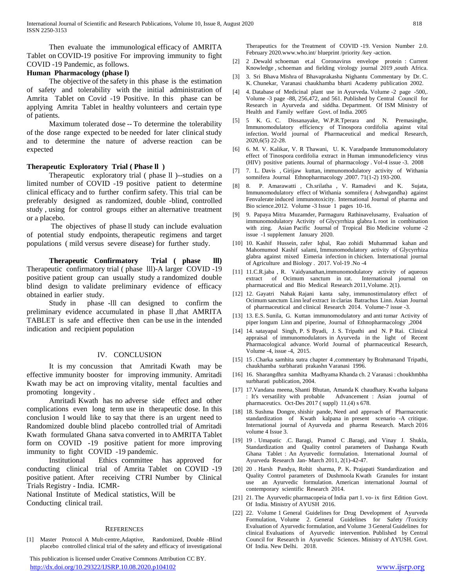Then evaluate the immunological efficacy of AMRITA Tablet on COVID-19 positive For improving immunity to fight COVID -19 Pandemic, as follows.

# **Human Pharmacology (phase l)**

 The objective of the safety in this phase is the estimation of safety and tolerability with the initial administration of Amrita Tablet on Covid -19 Positive. In this phase can be applying Amrita Tablet in healthy volunteers and certain type of patients.

 Maximum tolerated dose -- To determine the tolerability of the dose range expected to be needed for later clinical study and to determine the nature of adverse reaction can be expected

## **Therapeutic Exploratory Trial ( Phase ll )**

Therapeutic exploratory trial ( phase ll )--studies on a limited number of COVID -19 positive patient to determine clinical efficacy and to further confirm safety. This trial can be preferably designed as randomized, double -blind, controlled study , using for control groups either an alternative treatment or a placebo.

 The objectives of phase ll study can include evaluation of potential study endpoints, therapeutic regimens and target populations ( mild versus severe disease) for further study.

 **Therapeutic Confirmatory Trial ( phase lll)**  Therapeutic confirmatory trial ( phase lll)-A larger COVID -19 positive patient group can usually study a randomized double blind design to validate preliminary evidence of efficacy obtained in earlier study.

 Study in phase -lll can designed to confirm the preliminary evidence accumulated in phase ll ,that AMRITA TABLET is safe and effective then can be use in the intended indication and recipient population

## IV. CONCLUSION

 It is my concussion that Amritadi Kwath may be effective immunity booster for improving immunity. Amritadi Kwath may be act on improving vitality, mental faculties and promoting longevity .

 Amritadi Kwath has no adverse side effect and other complications even long term use in therapeutic dose. In this conclusion I would like to say that there is an urgent need to Randomized double blind placebo controlled trial of Amritadi Kwath formulated Ghana satva converted in to AMRITA Tablet form on COVID -19 positive patient for more improving immunity to fight COVID -19 pandemic.

 Institutional Ethics committee has approved for conducting clinical trial of Amrita Tablet on COVID -19 positive patient. After receiving CTRI Number by Clinical Trials Registry - India. ICMR-

National Institute of Medical statistics, Will be Conducting clinical trail.

#### **REFERENCES**

[1] Master Protocol A Mult-centre,Adaptive, Randomized, Double -Blind placebo controlled clinical trial of the safety and efficacy of investigational

 This publication is licensed under Creative Commons Attribution CC BY. <http://dx.doi.org/10.29322/IJSRP.10.08.2020.p104102> [www.ijsrp.org](http://ijsrp.org/)

Therapeutics for the Treatment of COVID -19. Version Number 2.0. February 2020.www.who.int/ blueprint /priority /key -action.

- [2] 2 .Dewald schoeman et.al Coronavirus envelope protein : Current Knowledge , schoeman and fielding virology journal 2019 ,south Africa.
- [3] 3. Sri Bhava Mishra of Bhavaprakasha Nighantu Commentary by Dr. C. K. Chunekar, Varanasi chaukhamba bharti Academy publication 2002.
- [4] 4. Database of Medicinal plant use in Ayurveda. Volume -2 page -500,. Volume -3 page -88, 256,472, and 561. Published by Central Council for Research in Ayurveda and siddha. Department. Of ISM Ministry of Health and Family welfare Govt. of India. 2005
- [5] 5 K. G. C. Dissanayake, W.P.R.Tperara and N. Premasinghe, Immunomodulatory efficiency of Tinospora cordifolia against vital infection. World journal of Pharmaceutical and medical Research, 2020,6(5) 22-28.
- [6] 6. M. V. Kalikar, V. R Thawani, U. K. Varadpande Immunomodulatory effect of Tinospora cordifolia extract in Human immunodeficiency virus (HIV) positive patients. Journal of pharmacology . Vol-4 issue -3. 2008
- [7] 7. L. Davis , Girijaw kuttan, immunomodulatory activity of Withania somnifera Journal Ethnopharmacology .2007. 71(1-2) 193-200.
- [8] 8. P. Amarawatti , Ch.srilatha , V. Ramadevi and K. Sujata, Immunomodulatory effect of Withania somnifera ( Ashwgandha) against Fenvalerate induced immunotoxicity. International Journal of pharma and Bio science.2012. Volume -3 Issue 1 pages 10-16.
- [9] 9. Papaya Mitra Muzamder, Parmaguru Rathinavelusamy, Evaluation of immunomodulatory Activity of Glycyrrhiza glabra L root in combination with zing. Asian Pacific Journal of Tropical Bio Medicine volume -2 issue -1 supplement January 2020.
- [10] 10. Kashif Hussein, zafer Iqbal, Rao zohidi Muhammad kahan and Mahomumod Kashif salami, Immunomodulatory activity of Glycyrrhiza glabra against mixed Eimeria infection in chicken. International journal of Agriculture and Biology . 2017. Vol-19 .No -4
- [11] 11.C.R.jaba, R. Vaidyanathan,immunomodulatory activity of aqueous extract of Ocimum sanctum in rat. International journal on pharmaceutical and Bio Medical Research 2011,Volume. 2(1).
- [12] 12. Gayatri Nahak Rajani kanta sahy, immunostimulatory effect of Ocimum sanctum Linn leaf extract in clarias Batrachus Linn. Asian Journal of pharmaceutical and clinical Research 2014. Volume-7 issue -3.
- [13] 13. E.S. Sunila, G. Kuttan immunomodulatory and anti tumar Activity of piper longum Linn and piperine, Journal of Ethnopharmacology ,2004
- [14] 14. satayapal Singh, P. S Byadi, J. S. Tripathi and N. P Rai. Clinical appraisal of immunomodulators in Ayurveda in the light of Recent Pharmacological advance. World Journal of pharmaceutical Research, Volume -4, issue -4, 2015.
- [15] 15 . Charka samhita sutra chapter 4 ,commentary by Brahmanand Tripathi, chaukhamba surbharati prakashn Varanasi 1996.
- [16] 16. Sharangdhra samhita Madhyama Khanda ch. 2 Varanasi : choukhmbha surbharati publication, 2004.
- [17] 17.Vandana meena, Shanti Bhutan, Amanda K chaudhary. Kwatha kalpana : It's versatility with probable Advancement : Asian journal of pharmaceutics. Oct-Des 2017 ( suppl) 11.(4) s 678.
- [18] 18. Sushma Dongre, shishir pande, Need and approach of Pharmaceutic standardization of Kwath kalpana in present scenario -A critique. International journal of Ayurveda and pharma Research. March 2016 volume 4 Issue 3.
- [19] 19 . Umapatic .C. Baragi, Pramod C .Baragi, and Vinay J. Shukla, Standardization and Quality control parameters of Dashanga Kwath Ghana Tablet : An Ayurvedic formulation. International Journal of Ayurveda Research Jan- March 2011, 2(1)-42-47.
- [20] 20 . Harsh Pandya, Rohit sharma, P. K. Prajapati Standardization and Quality Control parameters of Dushmoola Kwath Granules for instant use an Ayurvedic formulation. American international Journal of contemporary scientific Research 2014.
- [21] 21. The Ayurvedic pharmacopeia of India part 1. vo- ix first Edition Govt. Of India. Ministry of AYUSH 2016.
- [22] 22. Volume 1 General Guidelines for Drug Development of Ayurveda Formulation, Volume 2. General Guidelines for Safety /Toxicity Evaluation of Ayurvedic formulation, and Volume 3 General Guidelines for clinical Evaluations of Ayurvedic intervention. Published by Central Council for Research in Ayurvedic Sciences. Ministry of AYUSH. Govt. Of India. New Delhi. 2018.